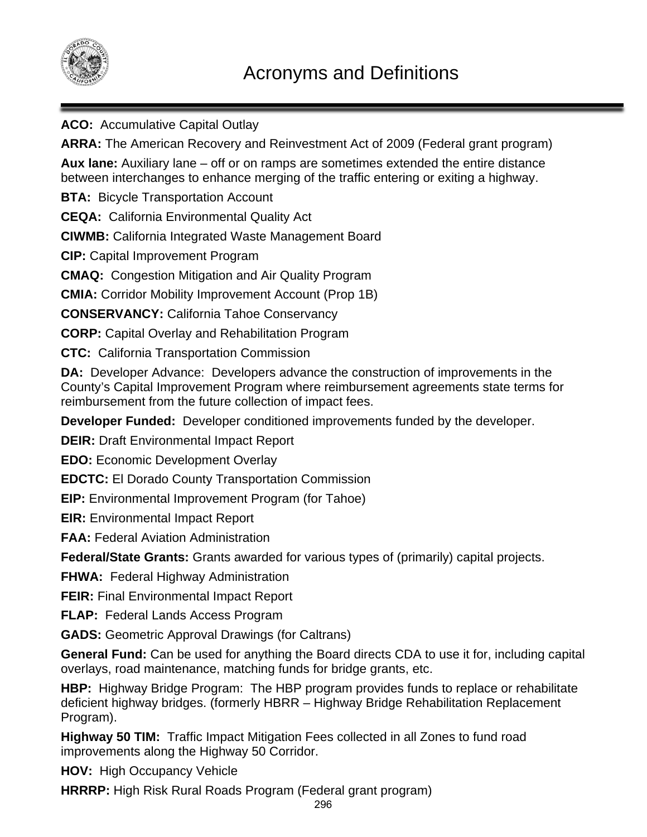

**ACO:** Accumulative Capital Outlay

**ARRA:** The American Recovery and Reinvestment Act of 2009 (Federal grant program)

**Aux lane:** Auxiliary lane – off or on ramps are sometimes extended the entire distance between interchanges to enhance merging of the traffic entering or exiting a highway.

**BTA:** Bicycle Transportation Account

**CEQA:** California Environmental Quality Act

**CIWMB:** California Integrated Waste Management Board

**CIP:** Capital Improvement Program

**CMAQ:** Congestion Mitigation and Air Quality Program

**CMIA:** Corridor Mobility Improvement Account (Prop 1B)

**CONSERVANCY:** California Tahoe Conservancy

**CORP:** Capital Overlay and Rehabilitation Program

**CTC:** California Transportation Commission

**DA:** Developer Advance: Developers advance the construction of improvements in the County's Capital Improvement Program where reimbursement agreements state terms for reimbursement from the future collection of impact fees.

**Developer Funded:** Developer conditioned improvements funded by the developer.

**DEIR:** Draft Environmental Impact Report

**EDO:** Economic Development Overlay

**EDCTC:** El Dorado County Transportation Commission

**EIP:** Environmental Improvement Program (for Tahoe)

**EIR:** Environmental Impact Report

**FAA:** Federal Aviation Administration

**Federal/State Grants:** Grants awarded for various types of (primarily) capital projects.

**FHWA:** Federal Highway Administration

**FEIR:** Final Environmental Impact Report

**FLAP:** Federal Lands Access Program

**GADS:** Geometric Approval Drawings (for Caltrans)

**General Fund:** Can be used for anything the Board directs CDA to use it for, including capital overlays, road maintenance, matching funds for bridge grants, etc.

**HBP:** Highway Bridge Program: The HBP program provides funds to replace or rehabilitate deficient highway bridges. (formerly HBRR – Highway Bridge Rehabilitation Replacement Program).

**Highway 50 TIM:** Traffic Impact Mitigation Fees collected in all Zones to fund road improvements along the Highway 50 Corridor.

**HOV:** High Occupancy Vehicle

**HRRRP:** High Risk Rural Roads Program (Federal grant program)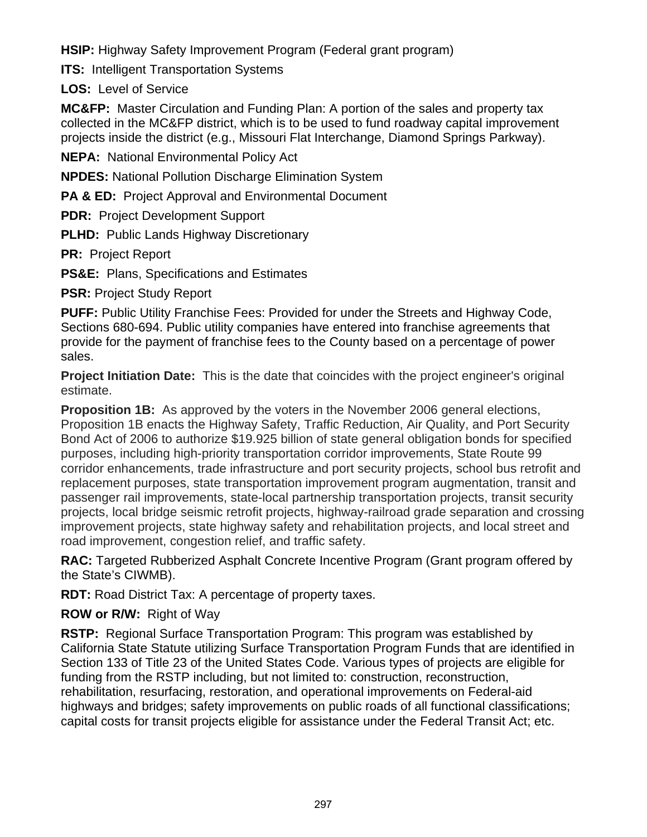**HSIP:** Highway Safety Improvement Program (Federal grant program)

**ITS:** Intelligent Transportation Systems

**LOS:** Level of Service

**MC&FP:** Master Circulation and Funding Plan: A portion of the sales and property tax collected in the MC&FP district, which is to be used to fund roadway capital improvement projects inside the district (e.g., Missouri Flat Interchange, Diamond Springs Parkway).

**NEPA:** National Environmental Policy Act

**NPDES:** National Pollution Discharge Elimination System

**PA & ED:** Project Approval and Environmental Document

**PDR:** Project Development Support

**PLHD:** Public Lands Highway Discretionary

**PR:** Project Report

**PS&E:** Plans, Specifications and Estimates

**PSR:** Project Study Report

**PUFF:** Public Utility Franchise Fees: Provided for under the Streets and Highway Code, Sections 680-694. Public utility companies have entered into franchise agreements that provide for the payment of franchise fees to the County based on a percentage of power sales.

**Project Initiation Date:** This is the date that coincides with the project engineer's original estimate.

**Proposition 1B:** As approved by the voters in the November 2006 general elections, Proposition 1B enacts the Highway Safety, Traffic Reduction, Air Quality, and Port Security Bond Act of 2006 to authorize \$19.925 billion of state general obligation bonds for specified purposes, including high-priority transportation corridor improvements, State Route 99 corridor enhancements, trade infrastructure and port security projects, school bus retrofit and replacement purposes, state transportation improvement program augmentation, transit and passenger rail improvements, state-local partnership transportation projects, transit security projects, local bridge seismic retrofit projects, highway-railroad grade separation and crossing improvement projects, state highway safety and rehabilitation projects, and local street and road improvement, congestion relief, and traffic safety.

**RAC:** Targeted Rubberized Asphalt Concrete Incentive Program (Grant program offered by the State's CIWMB).

**RDT:** Road District Tax: A percentage of property taxes.

**ROW or R/W:** Right of Way

**RSTP:** Regional Surface Transportation Program: This program was established by California State Statute utilizing Surface Transportation Program Funds that are identified in Section 133 of Title 23 of the United States Code. Various types of projects are eligible for funding from the RSTP including, but not limited to: construction, reconstruction, rehabilitation, resurfacing, restoration, and operational improvements on Federal-aid highways and bridges; safety improvements on public roads of all functional classifications; capital costs for transit projects eligible for assistance under the Federal Transit Act; etc.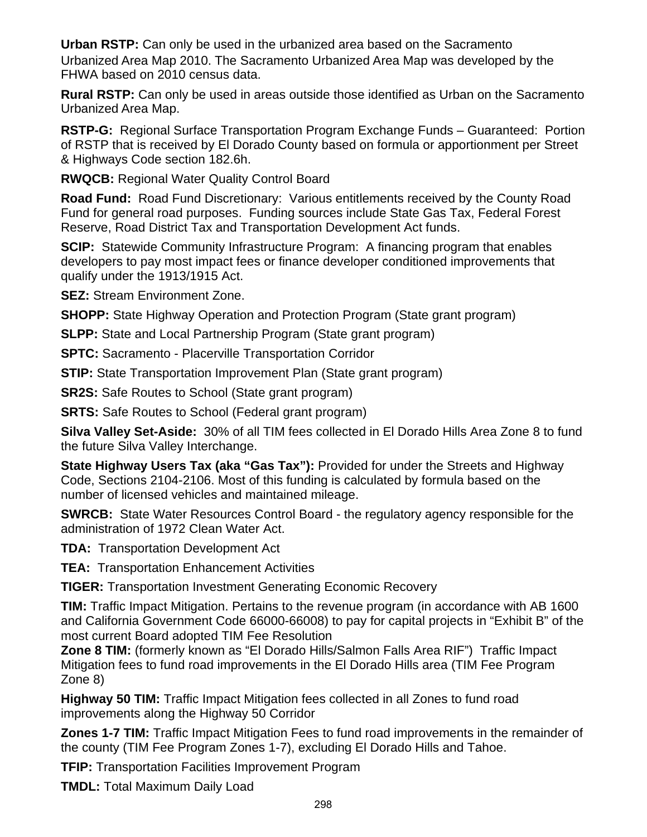**Urban RSTP:** Can only be used in the urbanized area based on the Sacramento Urbanized Area Map 2010. The Sacramento Urbanized Area Map was developed by the FHWA based on 2010 census data.

**Rural RSTP:** Can only be used in areas outside those identified as Urban on the Sacramento Urbanized Area Map.

**RSTP-G:** Regional Surface Transportation Program Exchange Funds – Guaranteed: Portion of RSTP that is received by El Dorado County based on formula or apportionment per Street & Highways Code section 182.6h.

**RWQCB:** Regional Water Quality Control Board

**Road Fund:** Road Fund Discretionary: Various entitlements received by the County Road Fund for general road purposes. Funding sources include State Gas Tax, Federal Forest Reserve, Road District Tax and Transportation Development Act funds.

**SCIP:** Statewide Community Infrastructure Program: A financing program that enables developers to pay most impact fees or finance developer conditioned improvements that qualify under the 1913/1915 Act.

**SEZ:** Stream Environment Zone.

**SHOPP:** State Highway Operation and Protection Program (State grant program)

**SLPP:** State and Local Partnership Program (State grant program)

**SPTC:** Sacramento - Placerville Transportation Corridor

**STIP:** State Transportation Improvement Plan (State grant program)

**SR2S:** Safe Routes to School (State grant program)

**SRTS:** Safe Routes to School (Federal grant program)

**Silva Valley Set-Aside:** 30% of all TIM fees collected in El Dorado Hills Area Zone 8 to fund the future Silva Valley Interchange.

**State Highway Users Tax (aka "Gas Tax"):** Provided for under the Streets and Highway Code, Sections 2104-2106. Most of this funding is calculated by formula based on the number of licensed vehicles and maintained mileage.

**SWRCB:** State Water Resources Control Board - the regulatory agency responsible for the administration of 1972 Clean Water Act.

**TDA:** Transportation Development Act

**TEA:** Transportation Enhancement Activities

**TIGER:** Transportation Investment Generating Economic Recovery

**TIM:** Traffic Impact Mitigation. Pertains to the revenue program (in accordance with AB 1600 and California Government Code 66000-66008) to pay for capital projects in "Exhibit B" of the most current Board adopted TIM Fee Resolution

**Zone 8 TIM:** (formerly known as "El Dorado Hills/Salmon Falls Area RIF") Traffic Impact Mitigation fees to fund road improvements in the El Dorado Hills area (TIM Fee Program Zone 8)

**Highway 50 TIM:** Traffic Impact Mitigation fees collected in all Zones to fund road improvements along the Highway 50 Corridor

**Zones 1-7 TIM:** Traffic Impact Mitigation Fees to fund road improvements in the remainder of the county (TIM Fee Program Zones 1-7), excluding El Dorado Hills and Tahoe.

**TFIP:** Transportation Facilities Improvement Program

**TMDL:** Total Maximum Daily Load